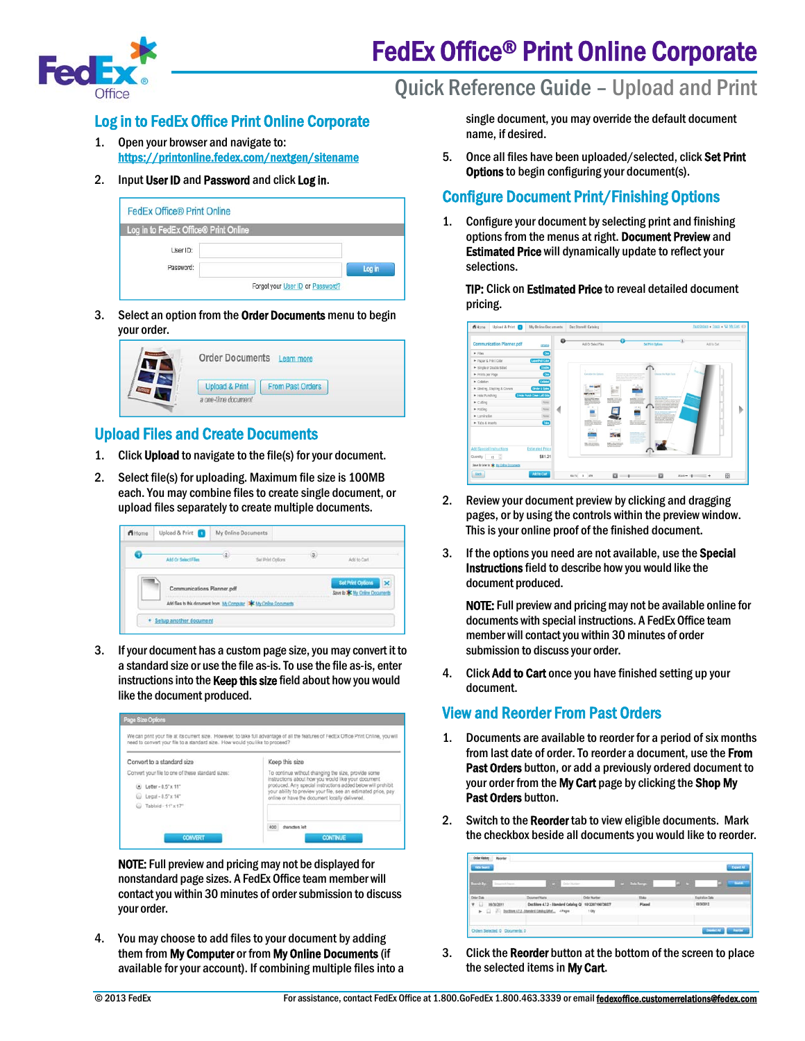

# FedEx Office® Print Online Corporate

Quick Reference Guide – Upload and Print

## Log in to FedEx Office Print Online Corporate

- 1. Open your browser and navigate to: https://printonline.fedex.com/nextgen/sitename
- 2. Input User ID and Password and click Log in.

| <b>FedEx Office® Print Online</b>    |                                  |        |
|--------------------------------------|----------------------------------|--------|
| Log in to FedEx Office® Print Online |                                  |        |
| User ID:<br>Password:                |                                  | Log in |
|                                      | Forgot your User ID or Password? |        |

3. Select an option from the Order Documents menu to begin your order.

| <b>Upload &amp; Print</b><br><b>From Past Orders</b><br>a one-time document |
|-----------------------------------------------------------------------------|
|                                                                             |

#### Upload Files and Create Documents

- 1. Click Upload to navigate to the file(s) for your document.
- 2. Select file(s) for uploading. Maximum file size is 100MB each. You may combine files to create single document, or upload files separately to create multiple documents.

| Add Or Select Files        | -2. | Set Print Options                                                    | s. | Add to Carl                                  |
|----------------------------|-----|----------------------------------------------------------------------|----|----------------------------------------------|
|                            |     |                                                                      |    |                                              |
|                            |     |                                                                      |    | Set Print Options<br>$\overline{\mathbf{x}}$ |
| Communications Planner.pdf |     |                                                                      |    | Save to * My Orine Documents                 |
|                            |     | Add files to this document from My Computer   MK My Online Documents |    |                                              |

3. If your document has a custom page size, you may convert it to a standard size or use the file as-is. To use the file as-is, enter instructions into the Keep this size field about how you would like the document produced.



NOTE: Full preview and pricing may not be displayed for nonstandard page sizes. A FedEx Office team member will contact you within 30 minutes of order submission to discuss your order.

4. You may choose to add files to your document by adding them from My Computer or from My Online Documents (if available for your account). If combining multiple files into a single document, you may override the default document name, if desired.

5. Once all files have been uploaded/selected, click Set Print Options to begin configuring your document(s).

#### Configure Document Print/Finishing Options

1. Configure your document by selecting print and finishing options from the menus at right. Document Preview and Estimated Price will dynamically update to reflect your selections.

TIP: Click on Estimated Price to reveal detailed document pricing.

|                                                        |                                   | $\Omega$ |                                                  |                                                                                                                                      |                                                                                                                                                                     |                 |             |  |
|--------------------------------------------------------|-----------------------------------|----------|--------------------------------------------------|--------------------------------------------------------------------------------------------------------------------------------------|---------------------------------------------------------------------------------------------------------------------------------------------------------------------|-----------------|-------------|--|
| <b>Communication Planner.pdf</b>                       | rename                            |          | Add Or Salect Files                              |                                                                                                                                      | <b>Set Print Options</b>                                                                                                                                            |                 | Add to Cort |  |
| $\blacktriangleright$ Files                            | Cm                                |          |                                                  |                                                                                                                                      |                                                                                                                                                                     |                 |             |  |
| Paper & Print Color                                    | <b>LasonFull Color</b>            |          |                                                  |                                                                                                                                      |                                                                                                                                                                     |                 |             |  |
| E Single or Double Sided                               | Double                            |          |                                                  |                                                                                                                                      |                                                                                                                                                                     |                 |             |  |
| Prints per Page                                        | Con                               |          | Consider the October                             | Lack and dealership the members of the<br>changing of the field children forces in those<br>Them finish between engineering business | Choose the Right Tools                                                                                                                                              |                 |             |  |
| $\blacktriangleright$ Colation                         | Column                            |          |                                                  | <b>RADIO ROS UNIVERSITY PRODUCT</b><br>$-1$                                                                                          |                                                                                                                                                                     |                 |             |  |
| F Binding, Stapling & Covers                           | <b>Binder &amp; Spine</b>         |          |                                                  | æ                                                                                                                                    |                                                                                                                                                                     |                 |             |  |
| $\blacktriangleright$ Hole Punching                    | 3 Hole Punch Down Left Side       |          | <b>IFLATE</b>                                    | --                                                                                                                                   | <b>Ballist Highland Henrico II</b>                                                                                                                                  |                 |             |  |
| $\triangleright$ Cutting                               | None                              |          |                                                  | EULOW                                                                                                                                | With nature to a group student. Ban-<br>With face interest furnished after<br><b>Make All a little modeler' letting and</b><br>presidents cheap art was moved about |                 |             |  |
| $\blacktriangleright$ Folding                          | None                              |          |                                                  | $-1.8$<br>≂                                                                                                                          | <b>EXIS CUE &amp; STANDARD FOAT A</b><br><b>CRAIGED LETTERS</b>                                                                                                     |                 |             |  |
| $\blacktriangleright$ Lamination                       | None                              |          |                                                  |                                                                                                                                      | <b><i>Billian Minister Co.</i></b><br>the world is seatoned on the Cal-<br>which provide the first interest<br>police annuls and other.                             |                 |             |  |
| Tabs & Inserts                                         | <b>Ebs</b>                        |          | brian St. Anna an                                | <b>MARKETING</b>                                                                                                                     | Superintent for \$50,000                                                                                                                                            |                 |             |  |
| <b>Add Special Instructions</b><br>B<br>Quantity<br>15 | <b>Estimated Price</b><br>\$81.21 |          | $-1.8$<br>---<br><b>British</b><br><b>MARKET</b> | 50<br><b><i>CONTRACTOR</i></b>                                                                                                       |                                                                                                                                                                     |                 |             |  |
| Save for later to sig My Online Documents              |                                   |          |                                                  |                                                                                                                                      |                                                                                                                                                                     |                 |             |  |
| Back.                                                  | Add to Cart                       |          | $0070 3$ of 9                                    | $\Box \rightarrow$                                                                                                                   | $\mathbf{a}$                                                                                                                                                        | $Zoon = 10$ $+$ | 函           |  |

- 2. Review your document preview by clicking and dragging pages, or by using the controls within the preview window. This is your online proof of the finished document.
- 3. If the options you need are not available, use the **Special** Instructions field to describe how you would like the document produced.

NOTE: Full preview and pricing may not be available online for documents with special instructions. A FedEx Office team member will contact you within 30 minutes of order submission to discuss your order.

4. Click Add to Cart once you have finished setting up your document.

## View and Reorder From Past Orders

- 1. Documents are available to reorder for a period of six months from last date of order. To reorder a document, use the From Past Orders button, or add a previously ordered document to your order from the My Cart page by clicking the Shop My Past Orders button.
- 2. Switch to the Reorder tab to view eligible documents. Mark the checkbox beside all documents you would like to reorder.

| $-5.1741$<br>Toppened Vancer                     | <b>CASE Only larger</b>                                |                     | a Seb Targe  |                 | <b>Series</b> |
|--------------------------------------------------|--------------------------------------------------------|---------------------|--------------|-----------------|---------------|
| Min Date                                         | Dounet Nate                                            | <b>Drive Number</b> | <b>Slate</b> | Expiration Date |               |
| 09/30/2011<br>제대 보기                              | Doctitore 4.7.3 - Standard Catalog Qi 1012207190730377 |                     | Placed       | 03303912        |               |
| > [ J     Dollins ATZ_Steeled Cately Life, APape |                                                        | toy                 |              |                 |               |

3. Click the Reorder button at the bottom of the screen to place the selected items in My Cart.